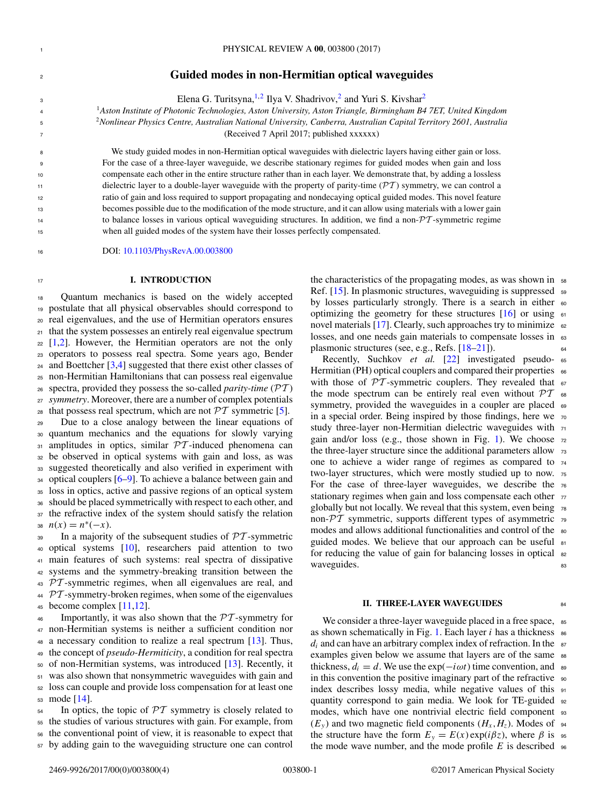# <sup>2</sup> **Guided modes in non-Hermitian optical waveguides**

Elena G. Turitsyna, $\frac{1}{2}$  Ilya V. Shadrivov,<sup>2</sup> and Yuri S. Kivshar<sup>2</sup>

<sup>1</sup> <sup>4</sup> *Aston Institute of Photonic Technologies, Aston University, Aston Triangle, Birmingham B4 7ET, United Kingdom*

<sup>2</sup> <sup>5</sup> *Nonlinear Physics Centre, Australian National University, Canberra, Australian Capital Territory 2601, Australia*

<sup>7</sup> (Received 7 April 2017; published xxxxxx)

We study guided modes in non-Hermitian optical waveguides with dielectric layers having either gain or loss. For the case of a three-layer waveguide, we describe stationary regimes for guided modes when gain and loss compensate each other in the entire structure rather than in each layer. We demonstrate that, by adding a lossless dielectric layer to a double-layer waveguide with the property of parity-time ( $\mathcal{PT}$ ) symmetry, we can control a ratio of gain and loss required to support propagating and nondecaying optical guided modes. This novel feature becomes possible due to the modification of the mode structure, and it can allow using materials with a lower gain to balance losses in various optical waveguiding structures. In addition, we find a non- $\mathcal{PT}$ -symmetric regime when all guided modes of the system have their losses perfectly compensated.

<sup>16</sup> DOI: [10.1103/PhysRevA.00.003800](https://doi.org/10.1103/PhysRevA.00.003800)

### <sup>17</sup> **I. INTRODUCTION**

 Quantum mechanics is based on the widely accepted postulate that all physical observables should correspond to real eigenvalues, and the use of Hermitian operators ensures that the system possesses an entirely real eigenvalue spectrum [\[1,2\]](#page-3-0). However, the Hermitian operators are not the only operators to possess real spectra. Some years ago, Bender and Boettcher [\[3,4\]](#page-3-0) suggested that there exist other classes of non-Hermitian Hamiltonians that can possess real eigenvalue spectra, provided they possess the so-called *parity-time* (PT ) *symmetry*. Moreover, there are a number of complex potentials 28 that possess real spectrum, which are not  $\mathcal{PT}$  symmetric [\[5\]](#page-3-0).

 Due to a close analogy between the linear equations of quantum mechanics and the equations for slowly varying  $\sigma$ <sub>31</sub> amplitudes in optics, similar  $\mathcal{PT}$ -induced phenomena can be observed in optical systems with gain and loss, as was suggested theoretically and also verified in experiment with optical couplers  $[6-9]$ . To achieve a balance between gain and loss in optics, active and passive regions of an optical system should be placed symmetrically with respect to each other, and the refractive index of the system should satisfy the relation  $n(x) = n^*(-x)$ .

 In a majority of the subsequent studies of  $\mathcal{PT}$ -symmetric optical systems [\[10\]](#page-3-0), researchers paid attention to two main features of such systems: real spectra of dissipative systems and the symmetry-breaking transition between the  $\overline{PT}$ -symmetric regimes, when all eigenvalues are real, and <sup>44</sup> PT-symmetry-broken regimes, when some of the eigenvalues<br><sup>45</sup> become complex [11,12]. ecome complex  $[11,12]$ .

46 Importantly, it was also shown that the  $\mathcal{PT}$ -symmetry for<br>47 non-Hermitian systems is neither a sufficient condition nor non-Hermitian systems is neither a sufficient condition nor a necessary condition to realize a real spectrum [\[13\]](#page-3-0). Thus, the concept of *pseudo-Hermiticity*, a condition for real spectra of non-Hermitian systems, was introduced [\[13\]](#page-3-0). Recently, it was also shown that nonsymmetric waveguides with gain and loss can couple and provide loss compensation for at least one mode [\[14\]](#page-3-0).

 In optics, the topic of  $\mathcal{PT}$  symmetry is closely related to the studies of various structures with gain. For example, from the conventional point of view, it is reasonable to expect that by adding gain to the waveguiding structure one can control the characteristics of the propagating modes, as was shown in  $\frac{58}{2}$ Ref. [\[15\]](#page-3-0). In plasmonic structures, waveguiding is suppressed 59 by losses particularly strongly. There is a search in either  $\infty$ optimizing the geometry for these structures  $[16]$  or using  $61$ novel materials [\[17\]](#page-3-0). Clearly, such approaches try to minimize  $\epsilon_2$ losses, and one needs gain materials to compensate losses in  $\epsilon$ s plasmonic structures (see, e.g., Refs. [\[18–21\]](#page-3-0)).

Recently, Suchkov *et al.* [\[22\]](#page-3-0) investigated pseudo- <sup>65</sup> Hermitian (PH) optical couplers and compared their properties  $\epsilon$ 66 with those of  $\mathcal{PT}$ -symmetric couplers. They revealed that  $\epsilon$ the mode spectrum can be entirely real even without  $\mathcal{PT}$  68 symmetry, provided the waveguides in a coupler are placed 69 in a special order. Being inspired by those findings, here we <sup>70</sup> study three-layer non-Hermitian dielectric waveguides with  $71$ gain and/or loss (e.g., those shown in Fig. [1\)](#page-1-0). We choose  $72$ the three-layer structure since the additional parameters allow  $\frac{73}{2}$ one to achieve a wider range of regimes as compared to <sup>74</sup> two-layer structures, which were mostly studied up to now. <sup>75</sup> For the case of three-layer waveguides, we describe the <sup>76</sup> stationary regimes when gain and loss compensate each other  $77$ globally but not locally. We reveal that this system, even being <sup>78</sup> non- $\mathcal{P}T$  symmetric, supports different types of asymmetric  $\tau$ 9 modes and allows additional functionalities and control of the 80 guided modes. We believe that our approach can be useful 81 for reducing the value of gain for balancing losses in optical 82 waveguides.

#### **II. THREE-LAYER WAVEGUIDES**

We consider a three-layer waveguide placed in a free space, 85 as shown schematically in Fig. [1.](#page-1-0) Each layer *i* has a thickness 86  $d_i$  and can have an arbitrary complex index of refraction. In the  $\sigma$ examples given below we assume that layers are of the same  $88$ thickness,  $d_i = d$ . We use the exp( $-i\omega t$ ) time convention, and 89 in this convention the positive imaginary part of the refractive  $\frac{1}{90}$ index describes lossy media, while negative values of this 91 quantity correspond to gain media. We look for TE-guided <sup>92</sup> modes, which have one nontrivial electric field component <sup>93</sup>  $(E_y)$  and two magnetic field components  $(H_x, H_z)$ . Modes of 94 the structure have the form  $E_y = E(x) \exp(i\beta z)$ , where  $\beta$  is  $\infty$ the mode wave number, and the mode profile  $E$  is described  $\frac{1}{96}$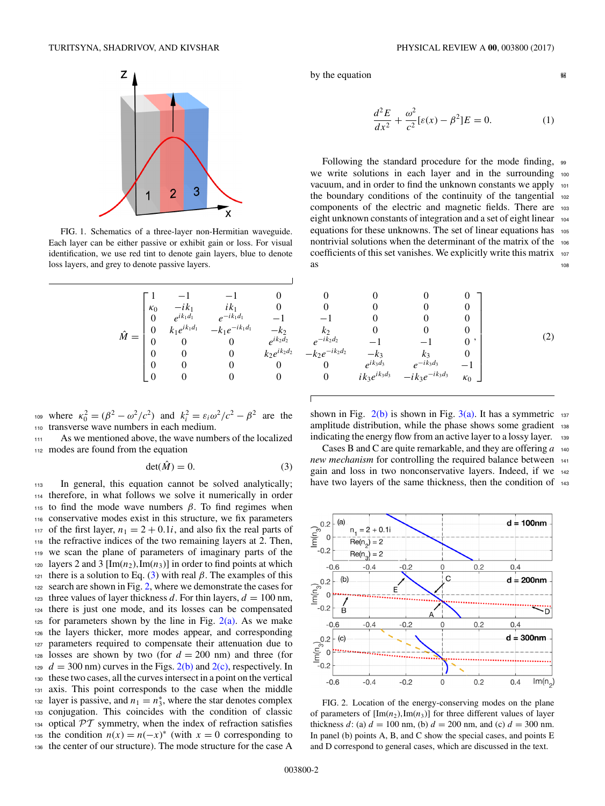<span id="page-1-0"></span>

FIG. 1. Schematics of a three-layer non-Hermitian waveguide. Each layer can be either passive or exhibit gain or loss. For visual identification, we use red tint to denote gain layers, blue to denote loss layers, and grey to denote passive layers.

| $ik_1$                                                           | 0                                      |
|------------------------------------------------------------------|----------------------------------------|
|                                                                  |                                        |
|                                                                  | $-k_2$                                 |
| 0                                                                | $e^{ik_2d_2}$                          |
| 0                                                                | $k_2e^{ik_2d_2}$                       |
| 0                                                                | 0                                      |
|                                                                  |                                        |
| $\vec{e}^{ik_1}$<br>$\vec{e}^{ik_1d_1}$<br>$k_1e^{ik_1d_1}$<br>0 | $e^{-ik_1d_1}$<br>$-k_1 e^{-ik_1 d_1}$ |

<sup>109</sup> where  $\kappa_0^2 = (\beta^2 - \omega^2/c^2)$  and  $k_i^2 = \varepsilon_i \omega^2/c^2 - \beta^2$  are the <sup>110</sup> transverse wave numbers in each medium.

<sup>111</sup> As we mentioned above, the wave numbers of the localized <sup>112</sup> modes are found from the equation

$$
\det(\hat{M}) = 0. \tag{3}
$$

<sup>113</sup> In general, this equation cannot be solved analytically; <sup>114</sup> therefore, in what follows we solve it numerically in order 115 to find the mode wave numbers  $β$ . To find regimes when <sup>116</sup> conservative modes exist in this structure, we fix parameters <sup>117</sup> of the first layer,  $n_1 = 2 + 0.1i$ , and also fix the real parts of the refractive indices of the two remaining layers at 2. Then. ne refractive indices of the two remaining layers at 2. Then, <sup>119</sup> we scan the plane of parameters of imaginary parts of the 120 layers 2 and 3  $[\text{Im}(n_2), \text{Im}(n_3)]$  in order to find points at which 121 there is a solution to Eq. (3) with real  $\beta$ . The examples of this <sup>122</sup> search are shown in Fig. 2, where we demonstrate the cases for 123 three values of layer thickness *d*. For thin layers,  $d = 100$  nm, <sup>124</sup> there is just one mode, and its losses can be compensated  $125$  for parameters shown by the line in Fig.  $2(a)$ . As we make <sup>126</sup> the layers thicker, more modes appear, and corresponding 127 parameters required to compensate their attenuation due to <sup>128</sup> losses are shown by two (for  $d = 200$  nm) and three (for  $t_{29}$   $d = 300$  nm) curves in the Figs. 2(b) and 2(c), respectively. In <sup>129</sup>  $d = 300$  nm) curves in the Figs.  $2(b)$  and  $2(c)$ , respectively. In the set two cases, all the curves intersect in a point on the vertical these two cases, all the curves intersect in a point on the vertical <sup>131</sup> axis. This point corresponds to the case when the middle layer is passive, and  $n_1 = n_3^*$ , where the star denotes complex <sup>133</sup> conjugation. This coincides with the condition of classic <sup>134</sup> optical PT symmetry, when the index of refraction satisfies<br><sup>135</sup> the condition  $n(x) = n(-x)^*$  (with  $x = 0$  corresponding to the condition  $n(x) = n(-x)^{*}$  (with  $x = 0$  corresponding to <sup>136</sup> the center of our structure). The mode structure for the case A

by the equation  $\theta$ 

$$
\frac{d^2E}{dx^2} + \frac{\omega^2}{c^2} [\varepsilon(x) - \beta^2] E = 0.
$$
 (1)

Following the standard procedure for the mode finding, 99 we write solutions in each layer and in the surrounding 100 vacuum, and in order to find the unknown constants we apply 101 the boundary conditions of the continuity of the tangential 102 components of the electric and magnetic fields. There are <sup>103</sup> eight unknown constants of integration and a set of eight linear 104 equations for these unknowns. The set of linear equations has 105 nontrivial solutions when the determinant of the matrix of the <sup>106</sup> coefficients of this set vanishes. We explicitly write this matrix <sup>107</sup>  $\frac{108}{108}$ 

$$
\begin{array}{ccccccccc}\n1 & -1 & -1 & 0 & 0 & 0 & 0 & 0 \\
\kappa_0 & -ik_1 & ik_1 & 0 & 0 & 0 & 0 & 0 \\
0 & e^{ik_1d_1} & e^{-ik_1d_1} & -1 & -1 & 0 & 0 & 0 \\
0 & k_1e^{ik_1d_1} & -k_1e^{-ik_1d_1} & -k_2 & k_2 & 0 & 0 & 0 \\
0 & 0 & 0 & e^{ik_2d_2} & e^{-ik_2d_2} & -1 & -1 & 0 \\
0 & 0 & 0 & k_2e^{ik_2d_2} & -k_2e^{-ik_2d_2} & -k_3 & k_3 & 0 \\
0 & 0 & 0 & 0 & e^{ik_3d_3} & e^{-ik_3d_3} & -1 \\
0 & 0 & 0 & 0 & ik_3e^{ik_3d_3} & -ik_3e^{-ik_3d_3} & k_0\n\end{array}
$$
\n(2)

shown in Fig.  $2(b)$  is shown in Fig.  $3(a)$ . It has a symmetric 137 amplitude distribution, while the phase shows some gradient 138 indicating the energy flow from an active layer to a lossy layer. 139

Cases B and C are quite remarkable, and they are offering *a* <sup>140</sup> *new mechanism* for controlling the required balance between 141 gain and loss in two nonconservative layers. Indeed, if we <sup>142</sup> have two layers of the same thickness, then the condition of 143



FIG. 2. Location of the energy-conserving modes on the plane of parameters of  $[\text{Im}(n_2), \text{Im}(n_3)]$  for three different values of layer thickness *d*: (a)  $d = 100$  nm, (b)  $d = 200$  nm, and (c)  $d = 300$  nm. In panel (b) points A, B, and C show the special cases, and points E and D correspond to general cases, which are discussed in the text.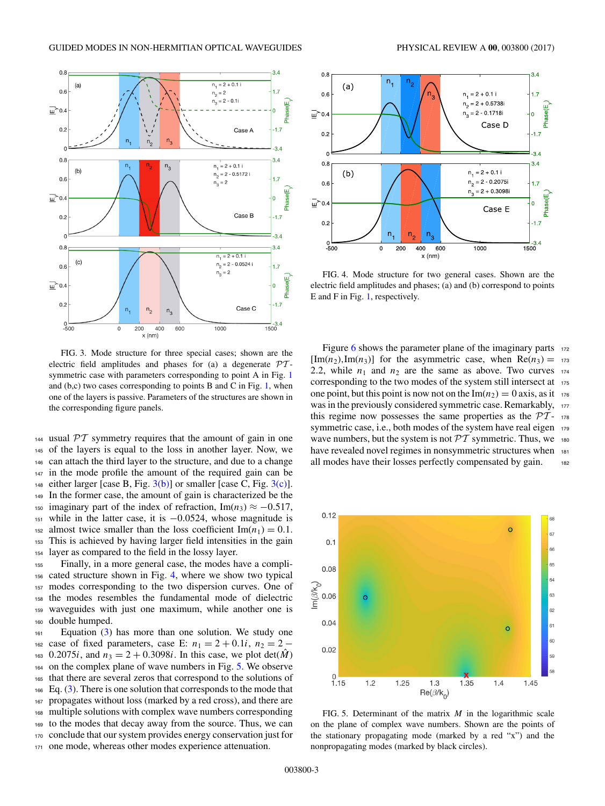<span id="page-2-0"></span>

FIG. 3. Mode structure for three special cases; shown are the electric field amplitudes and phases for (a) a degenerate  $\mathcal{P}\mathcal{T}$ symmetric case with parameters corresponding to point A in Fig. [1](#page-1-0) and  $(b, c)$  two cases corresponding to points B and C in Fig. [1,](#page-1-0) when one of the layers is passive. Parameters of the structures are shown in the corresponding figure panels.

 usual  $PT$  symmetry requires that the amount of gain in one of the layers is equal to the loss in another layer. Now, we can attach the third layer to the structure, and due to a change in the mode profile the amount of the required gain can be 148 either larger [case B, Fig.  $3(b)$ ] or smaller [case C, Fig.  $3(c)$ ]. In the former case, the amount of gain is characterized be the <sup>150</sup> imaginary part of the index of refraction, Im( $n_3$ )  $\approx -0.517$ , while in the latter case, it is −0*.*0524, whose magnitude is <sup>152</sup> almost twice smaller than the loss coefficient  $\text{Im}(n_1) = 0.1$ .<br><sup>153</sup> This is achieved by having larger field intensities in the gain This is achieved by having larger field intensities in the gain layer as compared to the field in the lossy layer.

 Finally, in a more general case, the modes have a compli- cated structure shown in Fig. 4, where we show two typical modes corresponding to the two dispersion curves. One of the modes resembles the fundamental mode of dielectric waveguides with just one maximum, while another one is double humped.

 Equation [\(3\)](#page-1-0) has more than one solution. We study one 162 case of fixed parameters, case E:  $n_1 = 2 + 0.1i$ ,  $n_2 = 2 -$ <sup>163</sup> 0.2075*i*, and  $n_3 = 2 + 0.3098i$ . In this case, we plot det(*M*) on the complex plane of wave numbers in Fig. 5. We observe that there are several zeros that correspond to the solutions of  $_{166}$  Eq. [\(3\)](#page-1-0). There is one solution that corresponds to the mode that propagates without loss (marked by a red cross), and there are multiple solutions with complex wave numbers corresponding to the modes that decay away from the source. Thus, we can conclude that our system provides energy conservation just for one mode, whereas other modes experience attenuation.



FIG. 4. Mode structure for two general cases. Shown are the electric field amplitudes and phases; (a) and (b) correspond to points E and F in Fig. [1,](#page-1-0) respectively.

Figure [6](#page-3-0) shows the parameter plane of the imaginary parts  $172$  $[\text{Im}(n_2), \text{Im}(n_3)]$  for the asymmetric case, when  $\text{Re}(n_3) = 173$ 2.2, while  $n_1$  and  $n_2$  are the same as above. Two curves  $174$ corresponding to the two modes of the system still intersect at 175 one point, but this point is now not on the  $\text{Im}(n_2) = 0$  axis, as it 176 was in the previously considered symmetric case. Remarkably, 177 this regime now possesses the same properties as the  $\mathcal{P}\mathcal{T}$ - 178 symmetric case, i.e., both modes of the system have real eigen 179 wave numbers, but the system is not  $\mathcal{PT}$  symmetric. Thus, we 180 have revealed novel regimes in nonsymmetric structures when 181 all modes have their losses perfectly compensated by gain. 182



FIG. 5. Determinant of the matrix *M* in the logarithmic scale on the plane of complex wave numbers. Shown are the points of the stationary propagating mode (marked by a red "x") and the nonpropagating modes (marked by black circles).